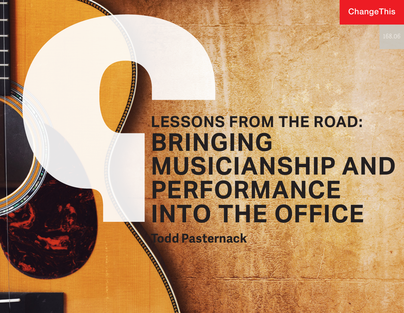168.06

## **LESSONS FROM THE ROAD: BRINGING MUSICIANSHIP AND PERFORMANCE INTO THE OFFICE**

**Todd Pasternack**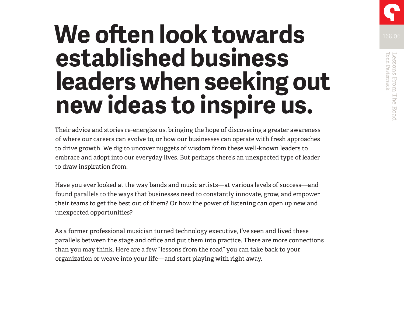# **We often look towards Measurement Concerns established business leaders when seeking out new ideas to inspire us.**

Their advice and stories re-energize us, bringing the hope of discovering a greater awareness of where our careers can evolve to, or how our businesses can operate with fresh approaches to drive growth. We dig to uncover nuggets of wisdom from these well-known leaders to embrace and adopt into our everyday lives. But perhaps there's an unexpected type of leader to draw inspiration from.

Have you ever looked at the way bands and music artists—at various levels of success—and found parallels to the ways that businesses need to constantly innovate, grow, and empower their teams to get the best out of them? Or how the power of listening can open up new and unexpected opportunities?

As a former professional musician turned technology executive, I've seen and lived these parallels between the stage and office and put them into practice. There are more connections than you may think. Here are a few "lessons from the road" you can take back to your organization or weave into your life—and start playing with right away.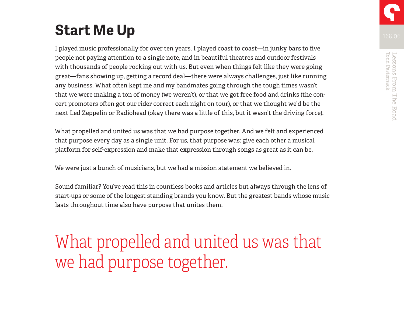### **Start Me Up**

I played music professionally for over ten years. I played coast to coast—in junky bars to five people not paying attention to a single note, and in beautiful theatres and outdoor festivals with thousands of people rocking out with us. But even when things felt like they were going great—fans showing up, getting a record deal—there were always challenges, just like running any business. What often kept me and my bandmates going through the tough times wasn't that we were making a ton of money (we weren't), or that we got free food and drinks (the concert promoters often got our rider correct each night on tour), or that we thought we'd be the next Led Zeppelin or Radiohead (okay there was a little of this, but it wasn't the driving force).

What propelled and united us was that we had purpose together. And we felt and experienced that purpose every day as a single unit. For us, that purpose was: give each other a musical platform for self-expression and make that expression through songs as great as it can be.

We were just a bunch of musicians, but we had a mission statement we believed in.

Sound familiar? You've read this in countless books and articles but always through the lens of start-ups or some of the longest standing brands you know. But the greatest bands whose music lasts throughout time also have purpose that unites them.

What propelled and united us was that we had purpose together.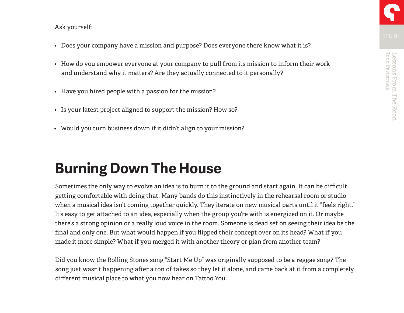#### Ask yourself:

- Does your company have a mission and purpose? Does everyone there know what it is?
- How do you empower everyone at your company to pull from its mission to inform their work and understand why it matters? Are they actually connected to it personally?
- Have you hired people with a passion for the mission?
- Is your latest project aligned to support the mission? How so?
- Would you turn business down if it didn't align to your mission?

### **Burning Down The House**

Sometimes the only way to evolve an idea is to burn it to the ground and start again. It can be difficult getting comfortable with doing that. Many bands do this instinctively in the rehearsal room or studio when a musical idea isn't coming together quickly. They iterate on new musical parts until it "feels right." It's easy to get attached to an idea, especially when the group you're with is energized on it. Or maybe there's a strong opinion or a really loud voice in the room. Someone is dead set on seeing their idea be the final and only one. But what would happen if you flipped their concept over on its head? What if you made it more simple? What if you merged it with another theory or plan from another team?

Did you know the Rolling Stones song "Start Me Up" was originally supposed to be a reggae song? The song just wasn't happening after a ton of takes so they let it alone, and came back at it from a completely different musical place to what you now hear on Tattoo You.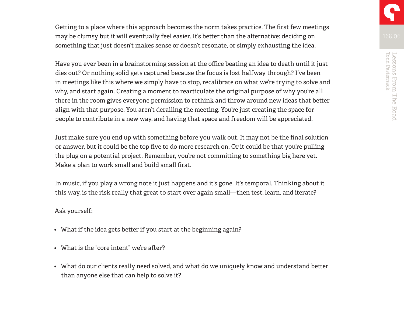Getting to a place where this approach becomes the norm takes practice. The first few meetings may be clumsy but it will eventually feel easier. It's better than the alternative: deciding on something that just doesn't makes sense or doesn't resonate, or simply exhausting the idea.

Have you ever been in a brainstorming session at the office beating an idea to death until it just dies out? Or nothing solid gets captured because the focus is lost halfway through? I've been in meetings like this where we simply have to stop, recalibrate on what we're trying to solve and why, and start again. Creating a moment to rearticulate the original purpose of why you're all there in the room gives everyone permission to rethink and throw around new ideas that better align with that purpose. You aren't derailing the meeting. You're just creating the space for people to contribute in a new way, and having that space and freedom will be appreciated.

Just make sure you end up with something before you walk out. It may not be the final solution or answer, but it could be the top five to do more research on. Or it could be that you're pulling the plug on a potential project. Remember, you're not committing to something big here yet. Make a plan to work small and build small first.

In music, if you play a wrong note it just happens and it's gone. It's temporal. Thinking about it this way, is the risk really that great to start over again small—then test, learn, and iterate?

#### Ask yourself:

- What if the idea gets better if you start at the beginning again?
- What is the "core intent" we're after?
- What do our clients really need solved, and what do we uniquely know and understand better than anyone else that can help to solve it?

Todd Pasternack Lessons From The Road

Lessons From The Road<br>Todd Pasternack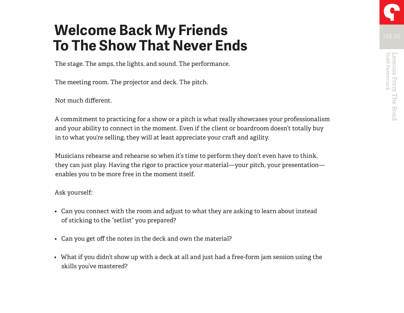### **Welcome Back My Friends To The Show That Never Ends**

The stage. The amps, the lights, and sound. The performance.

The meeting room. The projector and deck. The pitch.

Not much different.

A commitment to practicing for a show or a pitch is what really showcases your professionalism and your ability to connect in the moment. Even if the client or boardroom doesn't totally buy in to what you're selling, they will at least appreciate your craft and agility.

Musicians rehearse and rehearse so when it's time to perform they don't even have to think, they can just play. Having the rigor to practice your material—your pitch, your presentation enables you to be more free in the moment itself.

#### Ask yourself:

- Can you connect with the room and adjust to what they are asking to learn about instead of sticking to the "setlist" you prepared?
- Can you get off the notes in the deck and own the material?
- What if you didn't show up with a deck at all and just had a free-form jam session using the skills you've mastered?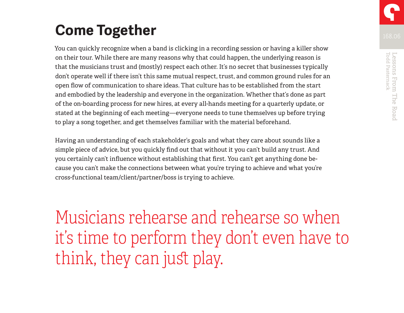### **Come Together**

You can quickly recognize when a band is clicking in a recording session or having a killer show on their tour. While there are many reasons why that could happen, the underlying reason is that the musicians trust and (mostly) respect each other. It's no secret that businesses typically don't operate well if there isn't this same mutual respect, trust, and common ground rules for an open flow of communication to share ideas. That culture has to be established from the start and embodied by the leadership and everyone in the organization. Whether that's done as part of the on-boarding process for new hires, at every all-hands meeting for a quarterly update, or stated at the beginning of each meeting—everyone needs to tune themselves up before trying to play a song together, and get themselves familiar with the material beforehand.

Having an understanding of each stakeholder's goals and what they care about sounds like a simple piece of advice, but you quickly find out that without it you can't build any trust. And you certainly can't influence without establishing that first. You can't get anything done because you can't make the connections between what you're trying to achieve and what you're cross-functional team/client/partner/boss is trying to achieve.

Musicians rehearse and rehearse so when it's time to perform they don't even have to think, they can just play.

Todd Pasternack Lessons From The Road

Lessons From The Road<br>Todd Pasternack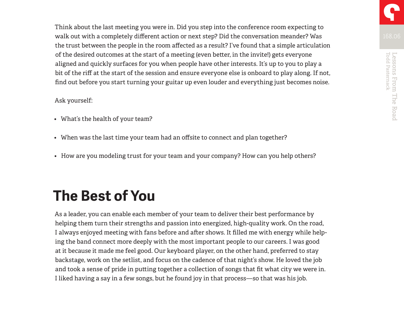Think about the last meeting you were in. Did you step into the conference room expecting to walk out with a completely different action or next step? Did the conversation meander? Was the trust between the people in the room affected as a result? I've found that a simple articulation of the desired outcomes at the start of a meeting (even better, in the invite!) gets everyone aligned and quickly surfaces for you when people have other interests. It's up to you to play a bit of the riff at the start of the session and ensure everyone else is onboard to play along. If not, find out before you start turning your guitar up even louder and everything just becomes noise.

#### Ask yourself:

- What's the health of your team?
- When was the last time your team had an offsite to connect and plan together?
- How are you modeling trust for your team and your company? How can you help others?

### **The Best of You**

As a leader, you can enable each member of your team to deliver their best performance by helping them turn their strengths and passion into energized, high-quality work. On the road, I always enjoyed meeting with fans before and after shows. It filled me with energy while helping the band connect more deeply with the most important people to our careers. I was good at it because it made me feel good. Our keyboard player, on the other hand, preferred to stay backstage, work on the setlist, and focus on the cadence of that night's show. He loved the job and took a sense of pride in putting together a collection of songs that fit what city we were in. I liked having a say in a few songs, but he found joy in that process—so that was his job.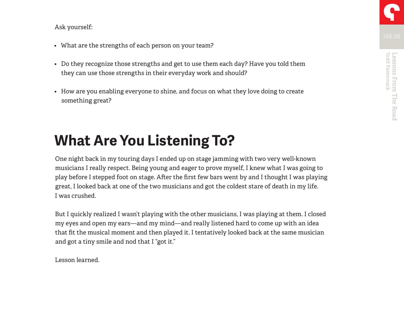#### Ask yourself:

- What are the strengths of each person on your team?
- Do they recognize those strengths and get to use them each day? Have you told them they can use those strengths in their everyday work and should?
- How are you enabling everyone to shine, and focus on what they love doing to create something great?

### **What Are You Listening To?**

One night back in my touring days I ended up on stage jamming with two very well-known musicians I really respect. Being young and eager to prove myself, I knew what I was going to play before I stepped foot on stage. After the first few bars went by and I thought I was playing great, I looked back at one of the two musicians and got the coldest stare of death in my life. I was crushed.

But I quickly realized I wasn't playing with the other musicians, I was playing at them. I closed my eyes and open my ears—and my mind—and really listened hard to come up with an idea that fit the musical moment and then played it. I tentatively looked back at the same musician and got a tiny smile and nod that I "got it."

Lesson learned.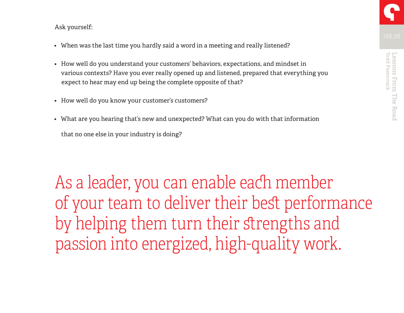- When was the last time you hardly said a word in a meeting and really listened?
- How well do you understand your customers' behaviors, expectations, and mindset in various contexts? Have you ever really opened up and listened, prepared that everything you expect to hear may end up being the complete opposite of that?
- How well do you know your customer's customers?
- What are you hearing that's new and unexpected? What can you do with that information that no one else in your industry is doing?

As a leader, you can enable each member of your team to deliver their best performance by helping them turn their strengths and passion into energized, high-quality work.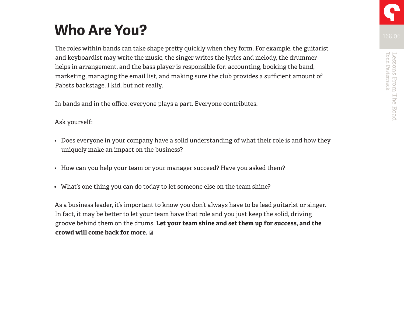## **Who Are You?**

The roles within bands can take shape pretty quickly when they form. For example, the guitarist and keyboardist may write the music, the singer writes the lyrics and melody, the drummer helps in arrangement, and the bass player is responsible for: accounting, booking the band, marketing, managing the email list, and making sure the club provides a sufficient amount of Pabsts backstage. I kid, but not really.

In bands and in the office, everyone plays a part. Everyone contributes.

#### Ask yourself:

- Does everyone in your company have a solid understanding of what their role is and how they uniquely make an impact on the business?
- How can you help your team or your manager succeed? Have you asked them?
- What's one thing you can do today to let someone else on the team shine?

As a business leader, it's important to know you don't always have to be lead guitarist or singer. In fact, it may be better to let your team have that role and you just keep the solid, driving groove behind them on the drums. **Let your team shine and set them up for success, and the crowd will come back for more.**